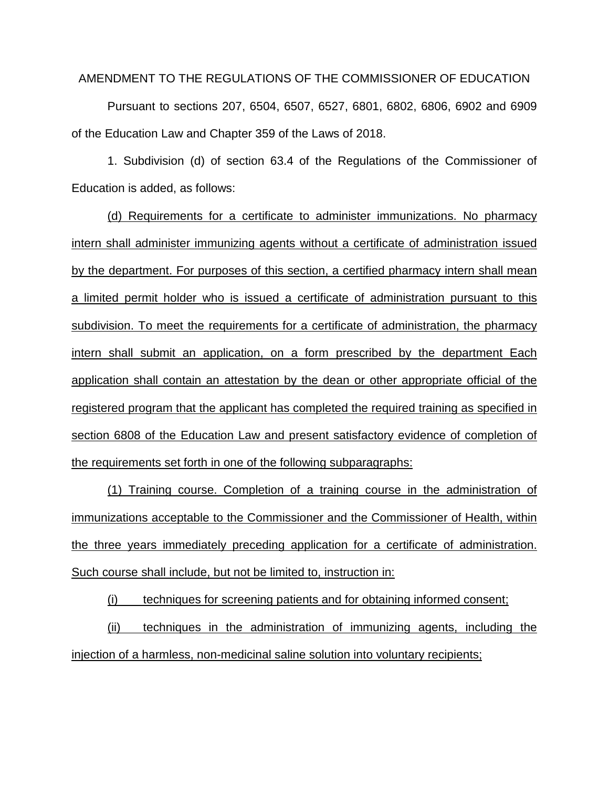## AMENDMENT TO THE REGULATIONS OF THE COMMISSIONER OF EDUCATION

Pursuant to sections 207, 6504, 6507, 6527, 6801, 6802, 6806, 6902 and 6909 of the Education Law and Chapter 359 of the Laws of 2018.

1. Subdivision (d) of section 63.4 of the Regulations of the Commissioner of Education is added, as follows:

(d) Requirements for a certificate to administer immunizations. No pharmacy intern shall administer immunizing agents without a certificate of administration issued by the department. For purposes of this section, a certified pharmacy intern shall mean a limited permit holder who is issued a certificate of administration pursuant to this subdivision. To meet the requirements for a certificate of administration, the pharmacy intern shall submit an application, on a form prescribed by the department Each application shall contain an attestation by the dean or other appropriate official of the registered program that the applicant has completed the required training as specified in section 6808 of the Education Law and present satisfactory evidence of completion of the requirements set forth in one of the following subparagraphs:

(1) Training course. Completion of a training course in the administration of immunizations acceptable to the Commissioner and the Commissioner of Health, within the three years immediately preceding application for a certificate of administration. Such course shall include, but not be limited to, instruction in:

(i) techniques for screening patients and for obtaining informed consent;

(ii) techniques in the administration of immunizing agents, including the injection of a harmless, non-medicinal saline solution into voluntary recipients;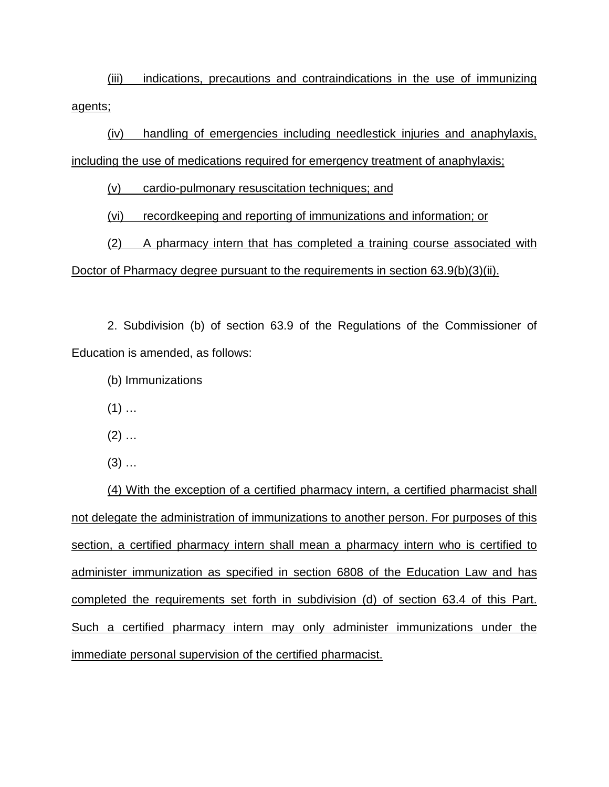(iii) indications, precautions and contraindications in the use of immunizing agents;

(iv) handling of emergencies including needlestick injuries and anaphylaxis, including the use of medications required for emergency treatment of anaphylaxis;

(v) cardio-pulmonary resuscitation techniques; and

(vi) recordkeeping and reporting of immunizations and information; or

(2) A pharmacy intern that has completed a training course associated with Doctor of Pharmacy degree pursuant to the requirements in section 63.9(b)(3)(ii).

2. Subdivision (b) of section 63.9 of the Regulations of the Commissioner of Education is amended, as follows:

(b) Immunizations

 $(1)$  ...

 $(2)$  ...

 $(3)$  ...

(4) With the exception of a certified pharmacy intern, a certified pharmacist shall not delegate the administration of immunizations to another person. For purposes of this section, a certified pharmacy intern shall mean a pharmacy intern who is certified to administer immunization as specified in section 6808 of the Education Law and has completed the requirements set forth in subdivision (d) of section 63.4 of this Part. Such a certified pharmacy intern may only administer immunizations under the immediate personal supervision of the certified pharmacist.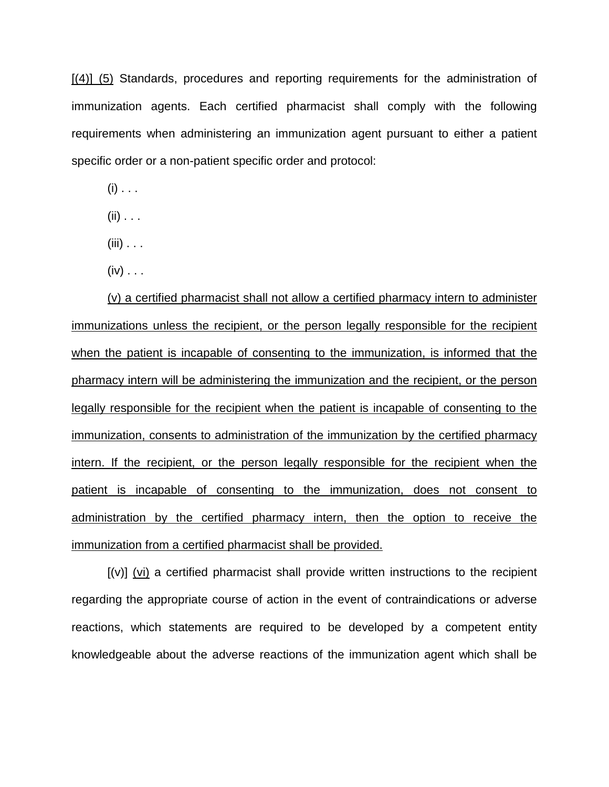[(4)] (5) Standards, procedures and reporting requirements for the administration of immunization agents. Each certified pharmacist shall comply with the following requirements when administering an immunization agent pursuant to either a patient specific order or a non-patient specific order and protocol:

 $(i)$  . . .

 $(ii)$  . . .

 $(iii)$  . . .

 $(iv) \ldots$ 

(v) a certified pharmacist shall not allow a certified pharmacy intern to administer immunizations unless the recipient, or the person legally responsible for the recipient when the patient is incapable of consenting to the immunization, is informed that the pharmacy intern will be administering the immunization and the recipient, or the person legally responsible for the recipient when the patient is incapable of consenting to the immunization, consents to administration of the immunization by the certified pharmacy intern. If the recipient, or the person legally responsible for the recipient when the patient is incapable of consenting to the immunization, does not consent to administration by the certified pharmacy intern, then the option to receive the immunization from a certified pharmacist shall be provided.

 $[(v)]$  (vi) a certified pharmacist shall provide written instructions to the recipient regarding the appropriate course of action in the event of contraindications or adverse reactions, which statements are required to be developed by a competent entity knowledgeable about the adverse reactions of the immunization agent which shall be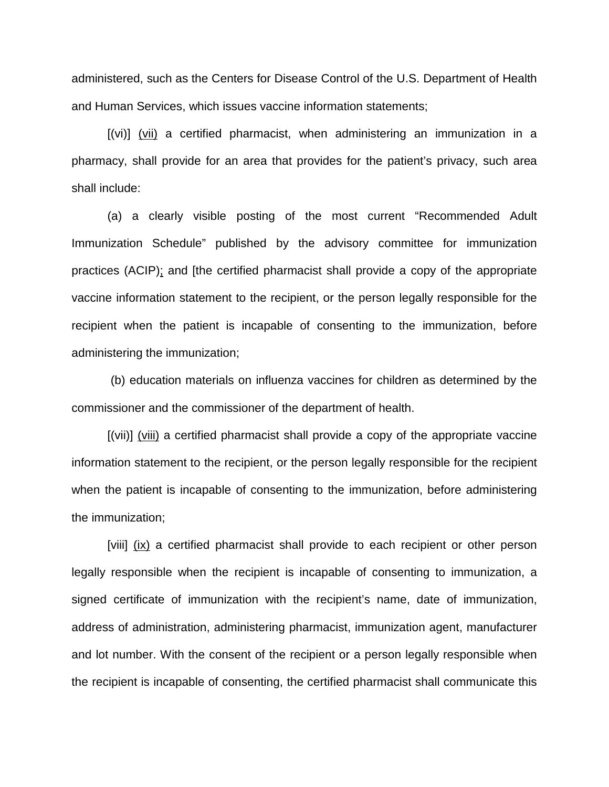administered, such as the Centers for Disease Control of the U.S. Department of Health and Human Services, which issues vaccine information statements;

[(vi)] (vii) a certified pharmacist, when administering an immunization in a pharmacy, shall provide for an area that provides for the patient's privacy, such area shall include:

(a) a clearly visible posting of the most current "Recommended Adult Immunization Schedule" published by the advisory committee for immunization practices (ACIP); and [the certified pharmacist shall provide a copy of the appropriate vaccine information statement to the recipient, or the person legally responsible for the recipient when the patient is incapable of consenting to the immunization, before administering the immunization;

(b) education materials on influenza vaccines for children as determined by the commissioner and the commissioner of the department of health.

[(vii)] (viii) a certified pharmacist shall provide a copy of the appropriate vaccine information statement to the recipient, or the person legally responsible for the recipient when the patient is incapable of consenting to the immunization, before administering the immunization;

[viii] (ix) a certified pharmacist shall provide to each recipient or other person legally responsible when the recipient is incapable of consenting to immunization, a signed certificate of immunization with the recipient's name, date of immunization, address of administration, administering pharmacist, immunization agent, manufacturer and lot number. With the consent of the recipient or a person legally responsible when the recipient is incapable of consenting, the certified pharmacist shall communicate this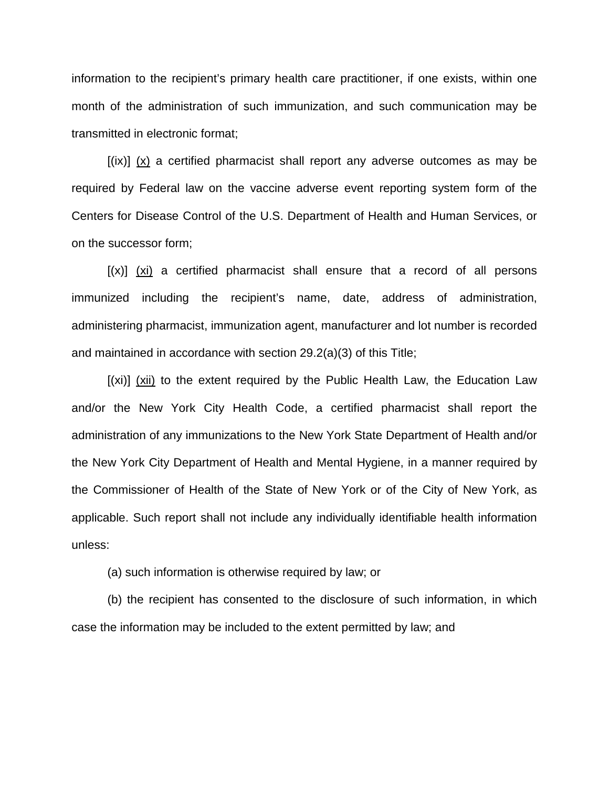information to the recipient's primary health care practitioner, if one exists, within one month of the administration of such immunization, and such communication may be transmitted in electronic format;

 $[(ix)]$   $(x)$  a certified pharmacist shall report any adverse outcomes as may be required by Federal law on the vaccine adverse event reporting system form of the Centers for Disease Control of the U.S. Department of Health and Human Services, or on the successor form;

 $[(x)]$  (xi) a certified pharmacist shall ensure that a record of all persons immunized including the recipient's name, date, address of administration, administering pharmacist, immunization agent, manufacturer and lot number is recorded and maintained in accordance with section 29.2(a)(3) of this Title;

[(xi)] (xii) to the extent required by the Public Health Law, the Education Law and/or the New York City Health Code, a certified pharmacist shall report the administration of any immunizations to the New York State Department of Health and/or the New York City Department of Health and Mental Hygiene, in a manner required by the Commissioner of Health of the State of New York or of the City of New York, as applicable. Such report shall not include any individually identifiable health information unless:

(a) such information is otherwise required by law; or

(b) the recipient has consented to the disclosure of such information, in which case the information may be included to the extent permitted by law; and